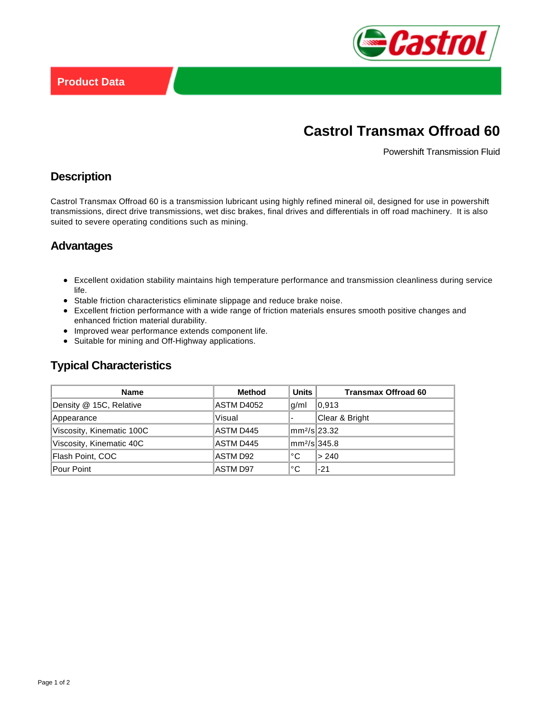

# **Castrol Transmax Offroad 60**

Powershift Transmission Fluid

### **Description**

Castrol Transmax Offroad 60 is a transmission lubricant using highly refined mineral oil, designed for use in powershift transmissions, direct drive transmissions, wet disc brakes, final drives and differentials in off road machinery. It is also suited to severe operating conditions such as mining.

# **Advantages**

- Excellent oxidation stability maintains high temperature performance and transmission cleanliness during service life.
- Stable friction characteristics eliminate slippage and reduce brake noise.
- Excellent friction performance with a wide range of friction materials ensures smooth positive changes and enhanced friction material durability.
- Improved wear performance extends component life.
- Suitable for mining and Off-Highway applications.

# **Typical Characteristics**

| <b>Name</b>               | <b>Method</b> | Units                    | <b>Transmax Offroad 60</b> |
|---------------------------|---------------|--------------------------|----------------------------|
| Density @ 15C, Relative   | ASTM D4052    | g/ml                     | 0.913                      |
| Appearance                | Visual        |                          | Clear & Bright             |
| Viscosity, Kinematic 100C | ASTM D445     | mm <sup>2</sup> /s 23.32 |                            |
| Viscosity, Kinematic 40C  | ASTM D445     | mm <sup>2</sup> /s 345.8 |                            |
| Flash Point, COC          | ASTM D92      | °C                       | l> 240                     |
| Pour Point                | ASTM D97      | °C                       | $-21$                      |